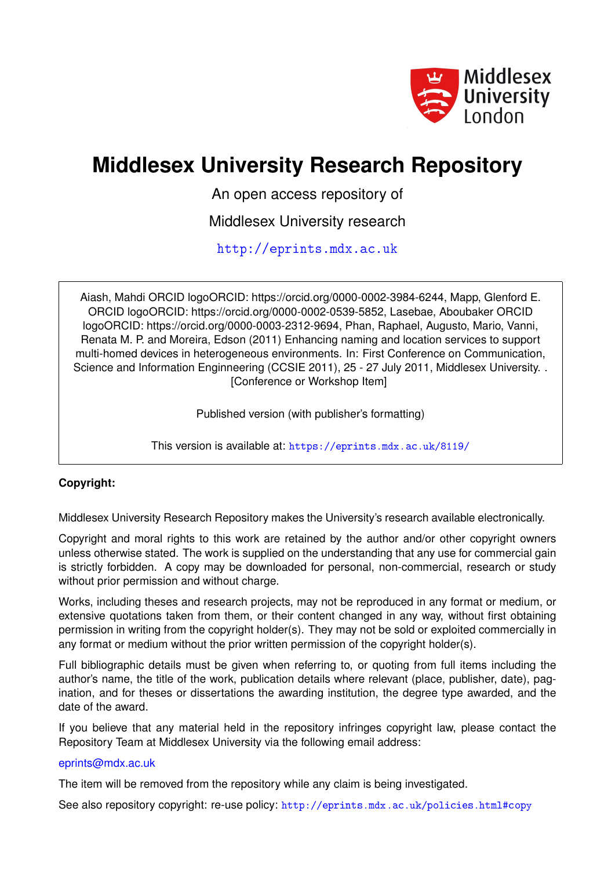

## **Middlesex University Research Repository**

An open access repository of

Middlesex University research

<http://eprints.mdx.ac.uk>

Aiash, Mahdi ORCID logoORCID: https://orcid.org/0000-0002-3984-6244, Mapp, Glenford E. ORCID logoORCID: https://orcid.org/0000-0002-0539-5852, Lasebae, Aboubaker ORCID logoORCID: https://orcid.org/0000-0003-2312-9694, Phan, Raphael, Augusto, Mario, Vanni, Renata M. P. and Moreira, Edson (2011) Enhancing naming and location services to support multi-homed devices in heterogeneous environments. In: First Conference on Communication, Science and Information Enginneering (CCSIE 2011), 25 - 27 July 2011, Middlesex University. . [Conference or Workshop Item]

Published version (with publisher's formatting)

This version is available at: <https://eprints.mdx.ac.uk/8119/>

## **Copyright:**

Middlesex University Research Repository makes the University's research available electronically.

Copyright and moral rights to this work are retained by the author and/or other copyright owners unless otherwise stated. The work is supplied on the understanding that any use for commercial gain is strictly forbidden. A copy may be downloaded for personal, non-commercial, research or study without prior permission and without charge.

Works, including theses and research projects, may not be reproduced in any format or medium, or extensive quotations taken from them, or their content changed in any way, without first obtaining permission in writing from the copyright holder(s). They may not be sold or exploited commercially in any format or medium without the prior written permission of the copyright holder(s).

Full bibliographic details must be given when referring to, or quoting from full items including the author's name, the title of the work, publication details where relevant (place, publisher, date), pagination, and for theses or dissertations the awarding institution, the degree type awarded, and the date of the award.

If you believe that any material held in the repository infringes copyright law, please contact the Repository Team at Middlesex University via the following email address:

## [eprints@mdx.ac.uk](mailto:eprints@mdx.ac.uk)

The item will be removed from the repository while any claim is being investigated.

See also repository copyright: re-use policy: <http://eprints.mdx.ac.uk/policies.html#copy>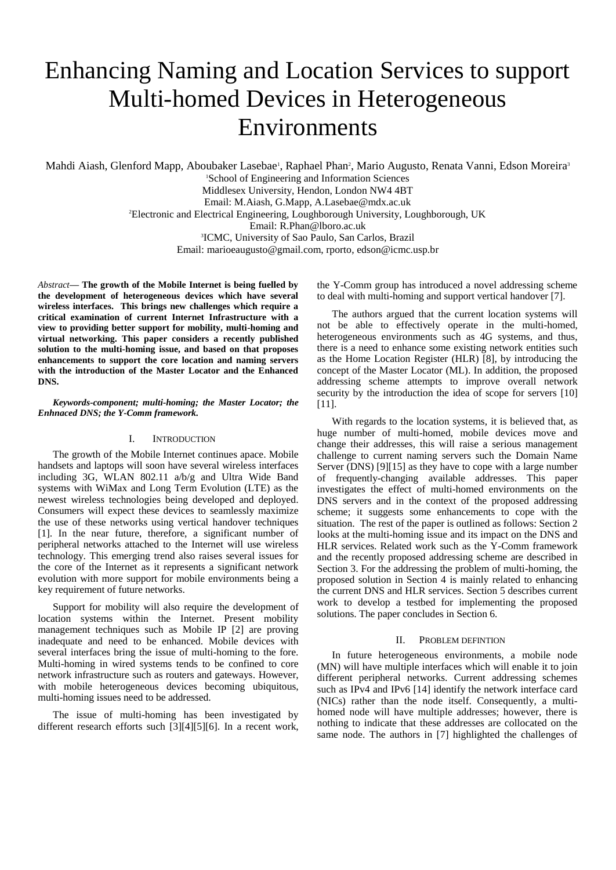# Enhancing Naming and Location Services to support Multi-homed Devices in Heterogeneous Environments

Mahdi Aiash, Glenford Mapp, Aboubaker Lasebae<sup>1</sup>, Raphael Phan<sup>2</sup>, Mario Augusto, Renata Vanni, Edson Moreira<sup>3</sup>

<sup>1</sup>School of Engineering and Information Sciences Middlesex University, Hendon, London NW4 4BT Email: M.Aiash, G.Mapp, A.Lasebae@mdx.ac.uk <sup>2</sup>Electronic and Electrical Engineering, Loughborough University, Loughborough, UK Email: R.Phan@lboro.ac.uk 3 ICMC, University of Sao Paulo, San Carlos, Brazil Email: marioeaugusto@gmail.com, rporto, edson@icmc.usp.br

*Abstract***— The growth of the Mobile Internet is being fuelled by the development of heterogeneous devices which have several wireless interfaces. This brings new challenges which require a critical examination of current Internet Infrastructure with a view to providing better support for mobility, multi-homing and virtual networking. This paper considers a recently published solution to the multi-homing issue, and based on that proposes enhancements to support the core location and naming servers with the introduction of the Master Locator and the Enhanced DNS.**

#### *Keywords-component; multi-homing; the Master Locator; the Enhnaced DNS; the Y-Comm framework.*

### I. INTRODUCTION

The growth of the Mobile Internet continues apace. Mobile handsets and laptops will soon have several wireless interfaces including 3G, WLAN 802.11 a/b/g and Ultra Wide Band systems with WiMax and Long Term Evolution (LTE) as the newest wireless technologies being developed and deployed. Consumers will expect these devices to seamlessly maximize the use of these networks using vertical handover techniques [1]. In the near future, therefore, a significant number of peripheral networks attached to the Internet will use wireless technology. This emerging trend also raises several issues for the core of the Internet as it represents a significant network evolution with more support for mobile environments being a key requirement of future networks.

Support for mobility will also require the development of location systems within the Internet. Present mobility management techniques such as Mobile IP [2] are proving inadequate and need to be enhanced. Mobile devices with several interfaces bring the issue of multi-homing to the fore. Multi-homing in wired systems tends to be confined to core network infrastructure such as routers and gateways. However, with mobile heterogeneous devices becoming ubiquitous, multi-homing issues need to be addressed.

The issue of multi-homing has been investigated by different research efforts such [3][4][5][6]. In a recent work,

the Y-Comm group has introduced a novel addressing scheme to deal with multi-homing and support vertical handover [7].

The authors argued that the current location systems will not be able to effectively operate in the multi-homed, heterogeneous environments such as 4G systems, and thus, there is a need to enhance some existing network entities such as the Home Location Register (HLR) [8], by introducing the concept of the Master Locator (ML). In addition, the proposed addressing scheme attempts to improve overall network security by the introduction the idea of scope for servers [10] [11].

With regards to the location systems, it is believed that, as huge number of multi-homed, mobile devices move and change their addresses, this will raise a serious management challenge to current naming servers such the Domain Name Server (DNS) [9][15] as they have to cope with a large number of frequently-changing available addresses. This paper investigates the effect of multi-homed environments on the DNS servers and in the context of the proposed addressing scheme; it suggests some enhancements to cope with the situation. The rest of the paper is outlined as follows: Section 2 looks at the multi-homing issue and its impact on the DNS and HLR services. Related work such as the Y-Comm framework and the recently proposed addressing scheme are described in Section 3. For the addressing the problem of multi-homing, the proposed solution in Section 4 is mainly related to enhancing the current DNS and HLR services. Section 5 describes current work to develop a testbed for implementing the proposed solutions. The paper concludes in Section 6.

#### II. PROBLEM DEFINTION

In future heterogeneous environments, a mobile node (MN) will have multiple interfaces which will enable it to join different peripheral networks. Current addressing schemes such as IPv4 and IPv6 [14] identify the network interface card (NICs) rather than the node itself. Consequently, a multihomed node will have multiple addresses; however, there is nothing to indicate that these addresses are collocated on the same node. The authors in [7] highlighted the challenges of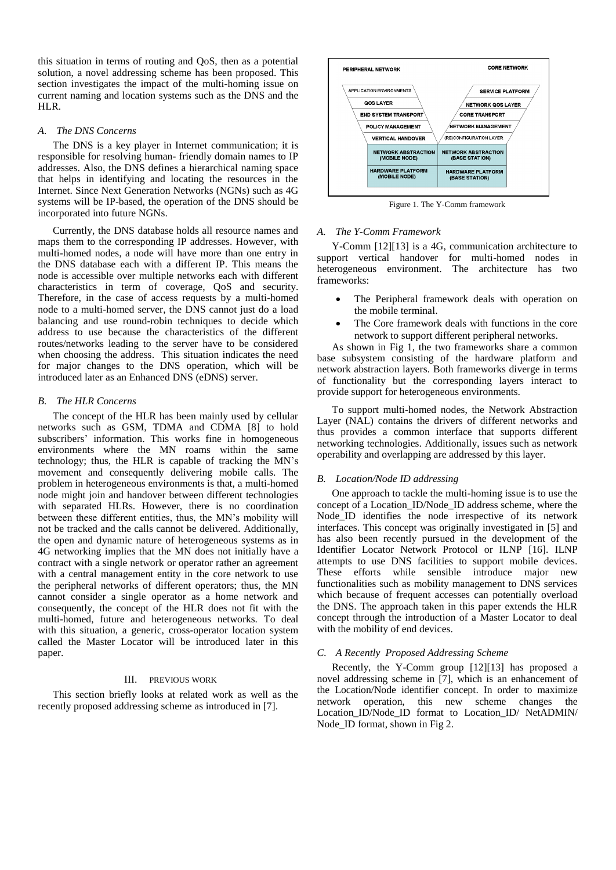this situation in terms of routing and QoS, then as a potential solution, a novel addressing scheme has been proposed. This section investigates the impact of the multi-homing issue on current naming and location systems such as the DNS and the HLR.

#### *A. The DNS Concerns*

The DNS is a key player in Internet communication; it is responsible for resolving human- friendly domain names to IP addresses. Also, the DNS defines a hierarchical naming space that helps in identifying and locating the resources in the Internet. Since Next Generation Networks (NGNs) such as 4G systems will be IP-based, the operation of the DNS should be incorporated into future NGNs.

Currently, the DNS database holds all resource names and maps them to the corresponding IP addresses. However, with multi-homed nodes, a node will have more than one entry in the DNS database each with a different IP. This means the node is accessible over multiple networks each with different characteristics in term of coverage, QoS and security. Therefore, in the case of access requests by a multi-homed node to a multi-homed server, the DNS cannot just do a load balancing and use round-robin techniques to decide which address to use because the characteristics of the different routes/networks leading to the server have to be considered when choosing the address. This situation indicates the need for major changes to the DNS operation, which will be introduced later as an Enhanced DNS (eDNS) server.

#### *B. The HLR Concerns*

The concept of the HLR has been mainly used by cellular networks such as GSM, TDMA and CDMA [8] to hold subscribers' information. This works fine in homogeneous environments where the MN roams within the same technology; thus, the HLR is capable of tracking the MN's movement and consequently delivering mobile calls. The problem in heterogeneous environments is that, a multi-homed node might join and handover between different technologies with separated HLRs. However, there is no coordination between these different entities, thus, the MN's mobility will not be tracked and the calls cannot be delivered. Additionally, the open and dynamic nature of heterogeneous systems as in 4G networking implies that the MN does not initially have a contract with a single network or operator rather an agreement with a central management entity in the core network to use the peripheral networks of different operators; thus, the MN cannot consider a single operator as a home network and consequently, the concept of the HLR does not fit with the multi-homed, future and heterogeneous networks. To deal with this situation, a generic, cross-operator location system called the Master Locator will be introduced later in this paper.

#### III. PREVIOUS WORK

This section briefly looks at related work as well as the recently proposed addressing scheme as introduced in [7].



Figure 1. The Y-Comm framework

#### *A. The Y-Comm Framework*

Y-Comm [12][13] is a 4G, communication architecture to support vertical handover for multi-homed nodes in heterogeneous environment. The architecture has two frameworks:

- The Peripheral framework deals with operation on the mobile terminal.
- The Core framework deals with functions in the core network to support different peripheral networks.

As shown in Fig 1, the two frameworks share a common base subsystem consisting of the hardware platform and network abstraction layers. Both frameworks diverge in terms of functionality but the corresponding layers interact to provide support for heterogeneous environments.

To support multi-homed nodes, the Network Abstraction Layer (NAL) contains the drivers of different networks and thus provides a common interface that supports different networking technologies. Additionally, issues such as network operability and overlapping are addressed by this layer.

#### *B. Location/Node ID addressing*

One approach to tackle the multi-homing issue is to use the concept of a Location\_ID/Node\_ID address scheme, where the Node ID identifies the node irrespective of its network interfaces. This concept was originally investigated in [5] and has also been recently pursued in the development of the Identifier Locator Network Protocol or ILNP [16]. ILNP attempts to use DNS facilities to support mobile devices. These efforts while sensible introduce major new functionalities such as mobility management to DNS services which because of frequent accesses can potentially overload the DNS. The approach taken in this paper extends the HLR concept through the introduction of a Master Locator to deal with the mobility of end devices.

#### *C. A Recently Proposed Addressing Scheme*

Recently, the Y-Comm group [12][13] has proposed a novel addressing scheme in [7], which is an enhancement of the Location/Node identifier concept. In order to maximize network operation, this new scheme changes the Location\_ID/Node\_ID format to Location\_ID/ NetADMIN/ Node\_ID format, shown in Fig 2.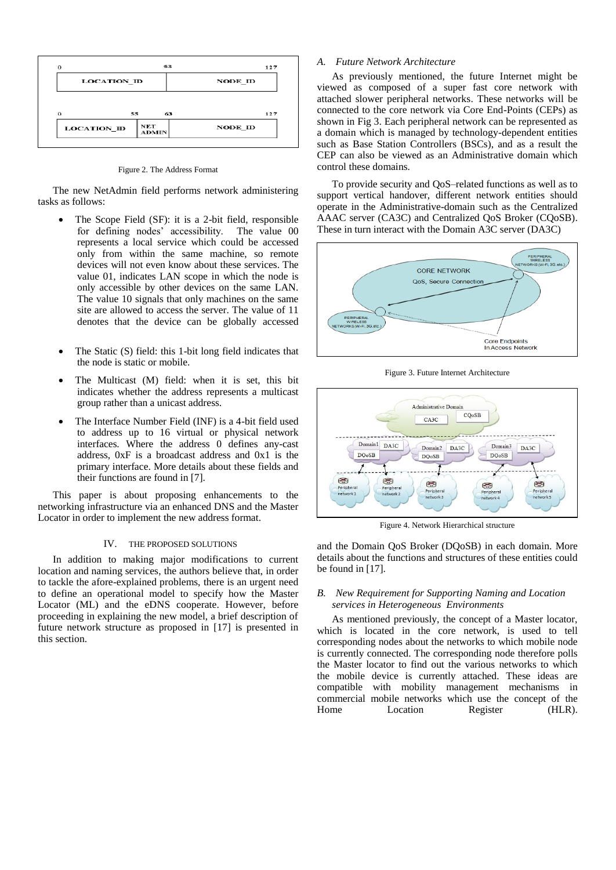

Figure 2. The Address Format

The new NetAdmin field performs network administering tasks as follows:

- The Scope Field (SF): it is a 2-bit field, responsible for defining nodes' accessibility. The value 00 represents a local service which could be accessed only from within the same machine, so remote devices will not even know about these services. The value 01, indicates LAN scope in which the node is only accessible by other devices on the same LAN. The value 10 signals that only machines on the same site are allowed to access the server. The value of 11 denotes that the device can be globally accessed
- The Static (S) field: this 1-bit long field indicates that the node is static or mobile.
- The Multicast (M) field: when it is set, this bit indicates whether the address represents a multicast group rather than a unicast address.
- The Interface Number Field (INF) is a 4-bit field used to address up to 16 virtual or physical network interfaces. Where the address 0 defines any-cast address, 0xF is a broadcast address and 0x1 is the primary interface. More details about these fields and their functions are found in [7].

This paper is about proposing enhancements to the networking infrastructure via an enhanced DNS and the Master Locator in order to implement the new address format.

#### IV. THE PROPOSED SOLUTIONS

In addition to making major modifications to current location and naming services, the authors believe that, in order to tackle the afore-explained problems, there is an urgent need to define an operational model to specify how the Master Locator (ML) and the eDNS cooperate. However, before proceeding in explaining the new model, a brief description of future network structure as proposed in [17] is presented in this section.

### *A. Future Network Architecture*

As previously mentioned, the future Internet might be viewed as composed of a super fast core network with attached slower peripheral networks. These networks will be connected to the core network via Core End-Points (CEPs) as shown in Fig 3. Each peripheral network can be represented as a domain which is managed by technology-dependent entities such as Base Station Controllers (BSCs), and as a result the CEP can also be viewed as an Administrative domain which control these domains.

To provide security and QoS–related functions as well as to support vertical handover, different network entities should operate in the Administrative-domain such as the Centralized AAAC server (CA3C) and Centralized QoS Broker (CQoSB). These in turn interact with the Domain A3C server (DA3C)



Figure 3. Future Internet Architecture



Figure 4. Network Hierarchical structure

and the Domain QoS Broker (DQoSB) in each domain. More details about the functions and structures of these entities could be found in [17].

### *B. New Requirement for Supporting Naming and Location services in Heterogeneous Environments*

As mentioned previously, the concept of a Master locator, which is located in the core network, is used to tell corresponding nodes about the networks to which mobile node is currently connected. The corresponding node therefore polls the Master locator to find out the various networks to which the mobile device is currently attached. These ideas are compatible with mobility management mechanisms in commercial mobile networks which use the concept of the Home Location Register (HLR).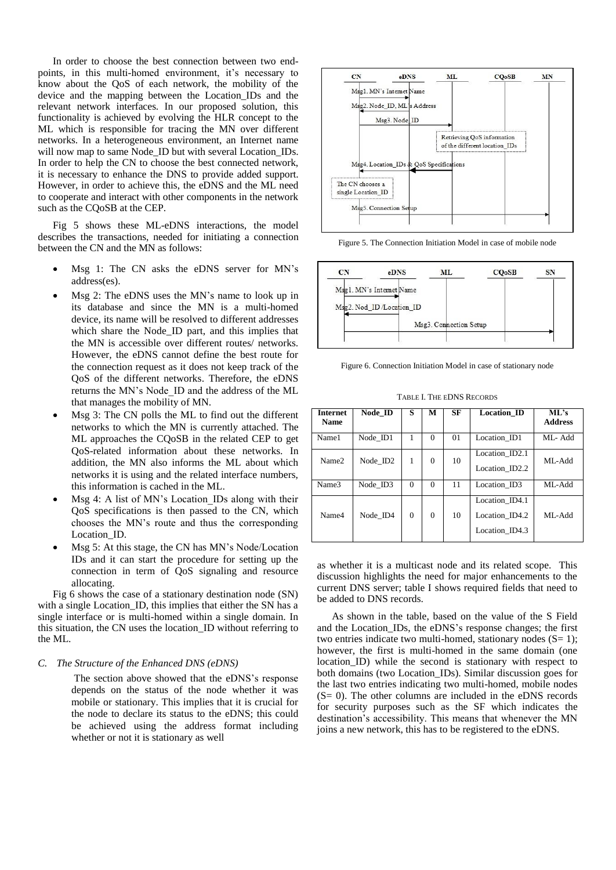In order to choose the best connection between two endpoints, in this multi-homed environment, it's necessary to know about the QoS of each network, the mobility of the device and the mapping between the Location\_IDs and the relevant network interfaces. In our proposed solution, this functionality is achieved by evolving the HLR concept to the ML which is responsible for tracing the MN over different networks. In a heterogeneous environment, an Internet name will now map to same Node\_ID but with several Location\_IDs. In order to help the CN to choose the best connected network, it is necessary to enhance the DNS to provide added support. However, in order to achieve this, the eDNS and the ML need to cooperate and interact with other components in the network such as the CQoSB at the CEP.

Fig 5 shows these ML-eDNS interactions, the model describes the transactions, needed for initiating a connection between the CN and the MN as follows:

- Msg 1: The CN asks the eDNS server for MN's address(es).
- Msg 2: The eDNS uses the MN's name to look up in its database and since the MN is a multi-homed device, its name will be resolved to different addresses which share the Node\_ID part, and this implies that the MN is accessible over different routes/ networks. However, the eDNS cannot define the best route for the connection request as it does not keep track of the QoS of the different networks. Therefore, the eDNS returns the MN's Node\_ID and the address of the ML that manages the mobility of MN.
- Msg 3: The CN polls the ML to find out the different networks to which the MN is currently attached. The ML approaches the CQoSB in the related CEP to get QoS-related information about these networks. In addition, the MN also informs the ML about which networks it is using and the related interface numbers, this information is cached in the ML.
- Msg 4: A list of MN's Location IDs along with their QoS specifications is then passed to the CN, which chooses the MN's route and thus the corresponding Location\_ID.
- Msg 5: At this stage, the CN has MN's Node/Location IDs and it can start the procedure for setting up the connection in term of QoS signaling and resource allocating.

Fig 6 shows the case of a stationary destination node (SN) with a single Location ID, this implies that either the SN has a single interface or is multi-homed within a single domain. In this situation, the CN uses the location\_ID without referring to the ML.

#### *C. The Structure of the Enhanced DNS (eDNS)*

The section above showed that the eDNS's response depends on the status of the node whether it was mobile or stationary. This implies that it is crucial for the node to declare its status to the eDNS; this could be achieved using the address format including whether or not it is stationary as well



Figure 5. The Connection Initiation Model in case of mobile node



Figure 6. Connection Initiation Model in case of stationary node

TABLE I. THE EDNS RECORDS

| <b>Internet</b><br><b>Name</b> | Node ID  | s        | М        | SF | <b>Location ID</b>                                 | ML's<br><b>Address</b> |
|--------------------------------|----------|----------|----------|----|----------------------------------------------------|------------------------|
| Name1                          | Node ID1 |          | $\Omega$ | 01 | Location ID1                                       | ML-Add                 |
| Name2                          | Node ID2 | 1        | $\Omega$ | 10 | Location_ID2.1<br>Location ID2.2                   | ML-Add                 |
| Name3                          | Node ID3 | $\Omega$ | $\Omega$ | 11 | Location ID3                                       | ML-Add                 |
| Name4                          | Node ID4 | $\Omega$ | $\Omega$ | 10 | Location ID4.1<br>Location ID4.2<br>Location ID4.3 | ML-Add                 |

as whether it is a multicast node and its related scope. This discussion highlights the need for major enhancements to the current DNS server; table I shows required fields that need to be added to DNS records.

As shown in the table, based on the value of the S Field and the Location\_IDs, the eDNS's response changes; the first two entries indicate two multi-homed, stationary nodes (S= 1); however, the first is multi-homed in the same domain (one location ID) while the second is stationary with respect to both domains (two Location\_IDs). Similar discussion goes for the last two entries indicating two multi-homed, mobile nodes  $(S= 0)$ . The other columns are included in the eDNS records for security purposes such as the SF which indicates the destination's accessibility. This means that whenever the MN joins a new network, this has to be registered to the eDNS.